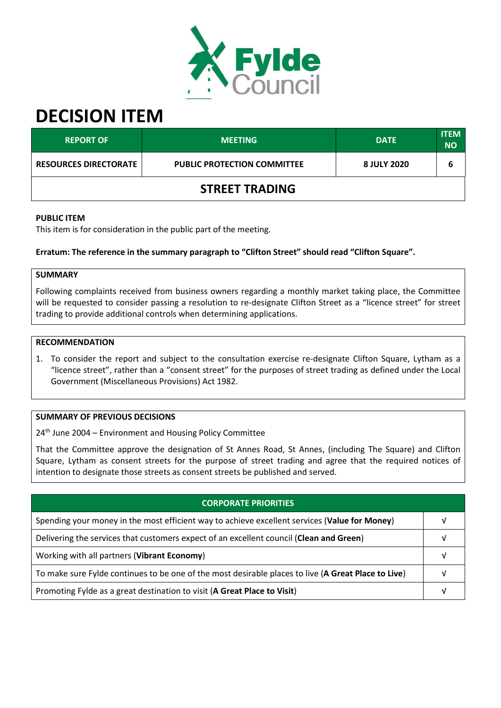

# **DECISION ITEM**

| <b>REPORT OF</b>             | <b>MEETING</b>                     | <b>DATE</b> | <b>ITEM</b><br><b>NO</b> |  |  |  |
|------------------------------|------------------------------------|-------------|--------------------------|--|--|--|
| <b>RESOURCES DIRECTORATE</b> | <b>PUBLIC PROTECTION COMMITTEE</b> | 8 JULY 2020 | b                        |  |  |  |
| <b>STREET TRADING</b>        |                                    |             |                          |  |  |  |

# **PUBLIC ITEM**

This item is for consideration in the public part of the meeting.

# **Erratum: The reference in the summary paragraph to "Clifton Street" should read "Clifton Square".**

# **SUMMARY**

Following complaints received from business owners regarding a monthly market taking place, the Committee will be requested to consider passing a resolution to re-designate Clifton Street as a "licence street" for street trading to provide additional controls when determining applications.

#### **RECOMMENDATION**

1. To consider the report and subject to the consultation exercise re-designate Clifton Square, Lytham as a "licence street", rather than a "consent street" for the purposes of street trading as defined under the Local Government (Miscellaneous Provisions) Act 1982.

# **SUMMARY OF PREVIOUS DECISIONS**

24<sup>th</sup> June 2004 – Environment and Housing Policy Committee

That the Committee approve the designation of St Annes Road, St Annes, (including The Square) and Clifton Square, Lytham as consent streets for the purpose of street trading and agree that the required notices of intention to designate those streets as consent streets be published and served.

| <b>CORPORATE PRIORITIES</b>                                                                         |  |  |
|-----------------------------------------------------------------------------------------------------|--|--|
| Spending your money in the most efficient way to achieve excellent services (Value for Money)       |  |  |
| Delivering the services that customers expect of an excellent council (Clean and Green)             |  |  |
| Working with all partners (Vibrant Economy)                                                         |  |  |
| To make sure Fylde continues to be one of the most desirable places to live (A Great Place to Live) |  |  |
| Promoting Fylde as a great destination to visit (A Great Place to Visit)                            |  |  |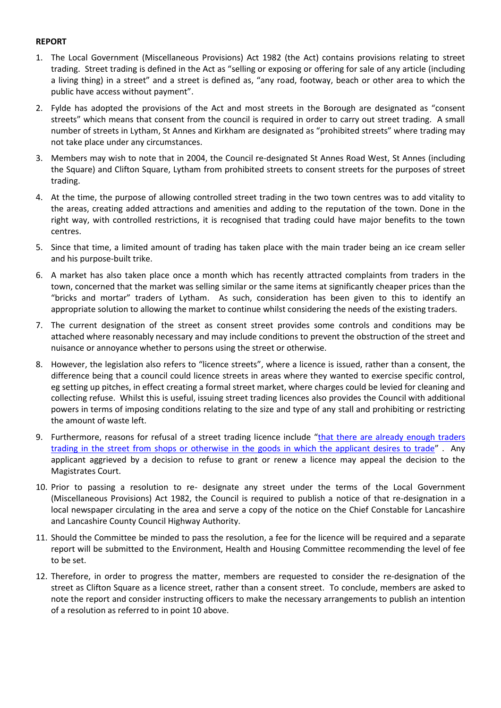# **REPORT**

- 1. The Local Government (Miscellaneous Provisions) Act 1982 (the Act) contains provisions relating to street trading. Street trading is defined in the Act as "selling or exposing or offering for sale of any article (including a living thing) in a street" and a street is defined as, "any road, footway, beach or other area to which the public have access without payment".
- 2. Fylde has adopted the provisions of the Act and most streets in the Borough are designated as "consent streets" which means that consent from the council is required in order to carry out street trading. A small number of streets in Lytham, St Annes and Kirkham are designated as "prohibited streets" where trading may not take place under any circumstances.
- 3. Members may wish to note that in 2004, the Council re-designated St Annes Road West, St Annes (including the Square) and Clifton Square, Lytham from prohibited streets to consent streets for the purposes of street trading.
- 4. At the time, the purpose of allowing controlled street trading in the two town centres was to add vitality to the areas, creating added attractions and amenities and adding to the reputation of the town. Done in the right way, with controlled restrictions, it is recognised that trading could have major benefits to the town centres.
- 5. Since that time, a limited amount of trading has taken place with the main trader being an ice cream seller and his purpose-built trike.
- 6. A market has also taken place once a month which has recently attracted complaints from traders in the town, concerned that the market was selling similar or the same items at significantly cheaper prices than the "bricks and mortar" traders of Lytham. As such, consideration has been given to this to identify an appropriate solution to allowing the market to continue whilst considering the needs of the existing traders.
- 7. The current designation of the street as consent street provides some controls and conditions may be attached where reasonably necessary and may include conditions to prevent the obstruction of the street and nuisance or annoyance whether to persons using the street or otherwise.
- 8. However, the legislation also refers to "licence streets", where a licence is issued, rather than a consent, the difference being that a council could licence streets in areas where they wanted to exercise specific control, eg setting up pitches, in effect creating a formal street market, where charges could be levied for cleaning and collecting refuse. Whilst this is useful, issuing street trading licences also provides the Council with additional powers in terms of imposing conditions relating to the size and type of any stall and prohibiting or restricting the amount of waste left.
- 9. Furthermore, reasons for refusal of a street trading licence include "[that there are already enough traders](https://www.legislation.gov.uk/ukpga/1982/30/schedule/4https:/www.legislation.gov.uk/ukpga/1982/30/schedule/4)  [trading in the street from shops or otherwise in the goods in which the applicant desires to trade](https://www.legislation.gov.uk/ukpga/1982/30/schedule/4https:/www.legislation.gov.uk/ukpga/1982/30/schedule/4)" . Any applicant aggrieved by a decision to refuse to grant or renew a licence may appeal the decision to the Magistrates Court.
- 10. Prior to passing a resolution to re- designate any street under the terms of the Local Government (Miscellaneous Provisions) Act 1982, the Council is required to publish a notice of that re-designation in a local newspaper circulating in the area and serve a copy of the notice on the Chief Constable for Lancashire and Lancashire County Council Highway Authority.
- 11. Should the Committee be minded to pass the resolution, a fee for the licence will be required and a separate report will be submitted to the Environment, Health and Housing Committee recommending the level of fee to be set.
- 12. Therefore, in order to progress the matter, members are requested to consider the re-designation of the street as Clifton Square as a licence street, rather than a consent street. To conclude, members are asked to note the report and consider instructing officers to make the necessary arrangements to publish an intention of a resolution as referred to in point 10 above.